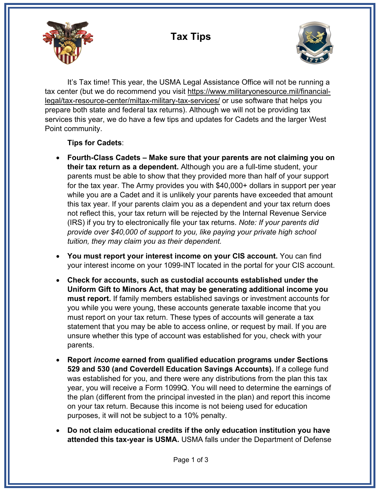**Tax Tips**





It's Tax time! This year, the USMA Legal Assistance Office will not be running a tax center (but we do recommend you visit https://www.militaryonesource.mil/financiallegal/tax-resource-center/miltax-military-tax-services/ or use software that helps you prepare both state and federal tax returns). Although we will not be providing tax services this year, we do have a few tips and updates for Cadets and the larger West Point community.

## **Tips for Cadets**:

- **Fourth-Class Cadets – Make sure that your parents are not claiming you on their tax return as a dependent.** Although you are a full-time student, your parents must be able to show that they provided more than half of your support for the tax year. The Army provides you with \$40,000+ dollars in support per year while you are a Cadet and it is unlikely your parents have exceeded that amount this tax year. If your parents claim you as a dependent and your tax return does not reflect this, your tax return will be rejected by the Internal Revenue Service (IRS) if you try to electronically file your tax returns. *Note: If your parents did provide over \$40,000 of support to you, like paying your private high school tuition, they may claim you as their dependent.*
- **You must report your interest income on your CIS account.** You can find your interest income on your 1099-INT located in the portal for your CIS account.
- **Check for accounts, such as custodial accounts established under the Uniform Gift to Minors Act, that may be generating additional income you must report.** If family members established savings or investment accounts for you while you were young, these accounts generate taxable income that you must report on your tax return. These types of accounts will generate a tax statement that you may be able to access online, or request by mail. If you are unsure whether this type of account was established for you, check with your parents.
- **Report** *income* **earned from qualified education programs under Sections 529 and 530 (and Coverdell Education Savings Accounts).** If a college fund was established for you, and there were any distributions from the plan this tax year, you will receive a Form 1099Q. You will need to determine the earnings of the plan (different from the principal invested in the plan) and report this income on your tax return. Because this income is not beieng used for education purposes, it will not be subject to a 10% penalty.
- **Do not claim educational credits if the only education institution you have attended this tax-year is USMA.** USMA falls under the Department of Defense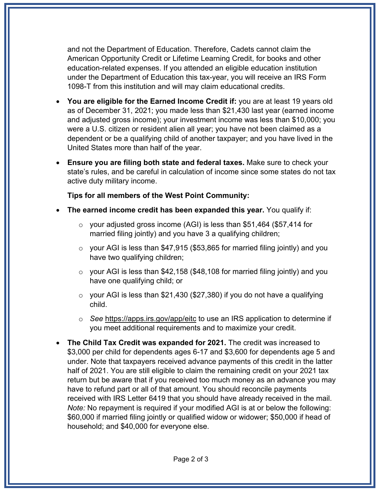and not the Department of Education. Therefore, Cadets cannot claim the American Opportunity Credit or Lifetime Learning Credit, for books and other education-related expenses. If you attended an eligible education institution under the Department of Education this tax-year, you will receive an IRS Form 1098-T from this institution and will may claim educational credits.

- **You are eligible for the Earned Income Credit if:** you are at least 19 years old as of December 31, 2021; you made less than \$21,430 last year (earned income and adjusted gross income); your investment income was less than \$10,000; you were a U.S. citizen or resident alien all year; you have not been claimed as a dependent or be a qualifying child of another taxpayer; and you have lived in the United States more than half of the year.
- **Ensure you are filing both state and federal taxes.** Make sure to check your state's rules, and be careful in calculation of income since some states do not tax active duty military income.

**Tips for all members of the West Point Community:** 

- **The earned income credit has been expanded this year.** You qualify if:
	- $\circ$  vour adjusted gross income (AGI) is less than \$51,464 (\$57,414 for married filing jointly) and you have 3 a qualifying children;
	- $\circ$  your AGI is less than \$47,915 (\$53,865 for married filing jointly) and you have two qualifying children;
	- $\circ$  your AGI is less than \$42,158 (\$48,108 for married filing jointly) and you have one qualifying child; or
	- $\circ$  your AGI is less than \$21,430 (\$27,380) if you do not have a qualifying child.
	- o *See* https://apps.irs.gov/app/eitc to use an IRS application to determine if you meet additional requirements and to maximize your credit.
- **The Child Tax Credit was expanded for 2021.** The credit was increased to \$3,000 per child for dependents ages 6-17 and \$3,600 for dependents age 5 and under. Note that taxpayers received advance payments of this credit in the latter half of 2021. You are still eligible to claim the remaining credit on your 2021 tax return but be aware that if you received too much money as an advance you may have to refund part or all of that amount. You should reconcile payments received with IRS Letter 6419 that you should have already received in the mail. *Note:* No repayment is required if your modified AGI is at or below the following: \$60,000 if married filing jointly or qualified widow or widower; \$50,000 if head of household; and \$40,000 for everyone else.